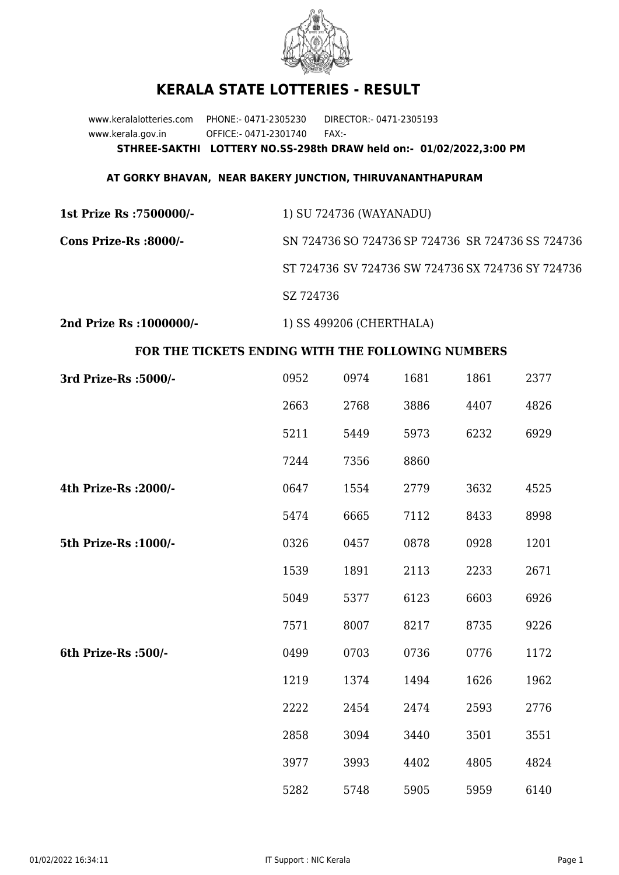

## **KERALA STATE LOTTERIES - RESULT**

www.keralalotteries.com PHONE:- 0471-2305230 DIRECTOR:- 0471-2305193 www.kerala.gov.in OFFICE:- 0471-2301740 FAX:- **STHREE-SAKTHI LOTTERY NO.SS-298th DRAW held on:- 01/02/2022,3:00 PM**

## **AT GORKY BHAVAN, NEAR BAKERY JUNCTION, THIRUVANANTHAPURAM**

| 1st Prize Rs :7500000/- | 1) SU 724736 (WAYANADU)                           |
|-------------------------|---------------------------------------------------|
| Cons Prize-Rs :8000/-   | SN 724736 SO 724736 SP 724736 SR 724736 SS 724736 |
|                         | ST 724736 SV 724736 SW 724736 SX 724736 SY 724736 |
|                         | SZ 724736                                         |
|                         |                                                   |

**2nd Prize Rs :1000000/-** 1) SS 499206 (CHERTHALA)

## **FOR THE TICKETS ENDING WITH THE FOLLOWING NUMBERS**

| 3rd Prize-Rs : 5000/- | 0952 | 0974 | 1681 | 1861 | 2377 |
|-----------------------|------|------|------|------|------|
|                       | 2663 | 2768 | 3886 | 4407 | 4826 |
|                       | 5211 | 5449 | 5973 | 6232 | 6929 |
|                       | 7244 | 7356 | 8860 |      |      |
| 4th Prize-Rs : 2000/- | 0647 | 1554 | 2779 | 3632 | 4525 |
|                       | 5474 | 6665 | 7112 | 8433 | 8998 |
| 5th Prize-Rs : 1000/- | 0326 | 0457 | 0878 | 0928 | 1201 |
|                       | 1539 | 1891 | 2113 | 2233 | 2671 |
|                       | 5049 | 5377 | 6123 | 6603 | 6926 |
|                       | 7571 | 8007 | 8217 | 8735 | 9226 |
| 6th Prize-Rs :500/-   | 0499 | 0703 | 0736 | 0776 | 1172 |
|                       | 1219 | 1374 | 1494 | 1626 | 1962 |
|                       | 2222 | 2454 | 2474 | 2593 | 2776 |
|                       | 2858 | 3094 | 3440 | 3501 | 3551 |
|                       | 3977 | 3993 | 4402 | 4805 | 4824 |
|                       | 5282 | 5748 | 5905 | 5959 | 6140 |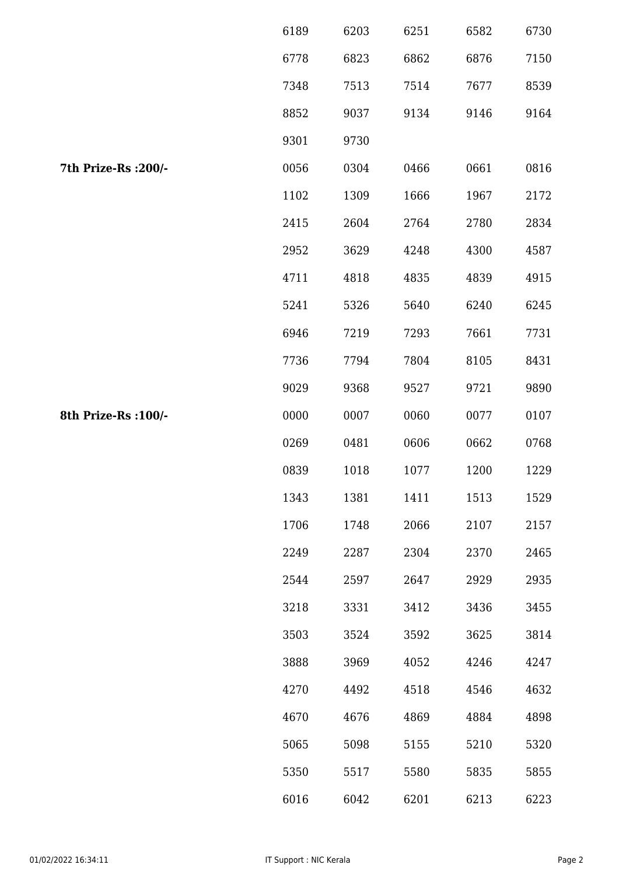|                      | 6189 | 6203 | 6251 | 6582 | 6730 |
|----------------------|------|------|------|------|------|
|                      | 6778 | 6823 | 6862 | 6876 | 7150 |
|                      | 7348 | 7513 | 7514 | 7677 | 8539 |
|                      | 8852 | 9037 | 9134 | 9146 | 9164 |
|                      | 9301 | 9730 |      |      |      |
| 7th Prize-Rs : 200/- | 0056 | 0304 | 0466 | 0661 | 0816 |
|                      | 1102 | 1309 | 1666 | 1967 | 2172 |
|                      | 2415 | 2604 | 2764 | 2780 | 2834 |
|                      | 2952 | 3629 | 4248 | 4300 | 4587 |
|                      | 4711 | 4818 | 4835 | 4839 | 4915 |
|                      | 5241 | 5326 | 5640 | 6240 | 6245 |
|                      | 6946 | 7219 | 7293 | 7661 | 7731 |
|                      | 7736 | 7794 | 7804 | 8105 | 8431 |
|                      | 9029 | 9368 | 9527 | 9721 | 9890 |
| 8th Prize-Rs : 100/- | 0000 | 0007 | 0060 | 0077 | 0107 |
|                      | 0269 | 0481 | 0606 | 0662 | 0768 |
|                      | 0839 | 1018 | 1077 | 1200 | 1229 |
|                      | 1343 | 1381 | 1411 | 1513 | 1529 |
|                      | 1706 | 1748 | 2066 | 2107 | 2157 |
|                      | 2249 | 2287 | 2304 | 2370 | 2465 |
|                      | 2544 | 2597 | 2647 | 2929 | 2935 |
|                      | 3218 | 3331 | 3412 | 3436 | 3455 |
|                      | 3503 | 3524 | 3592 | 3625 | 3814 |
|                      | 3888 | 3969 | 4052 | 4246 | 4247 |
|                      | 4270 | 4492 | 4518 | 4546 | 4632 |
|                      | 4670 | 4676 | 4869 | 4884 | 4898 |
|                      | 5065 | 5098 | 5155 | 5210 | 5320 |
|                      | 5350 | 5517 | 5580 | 5835 | 5855 |
|                      | 6016 | 6042 | 6201 | 6213 | 6223 |